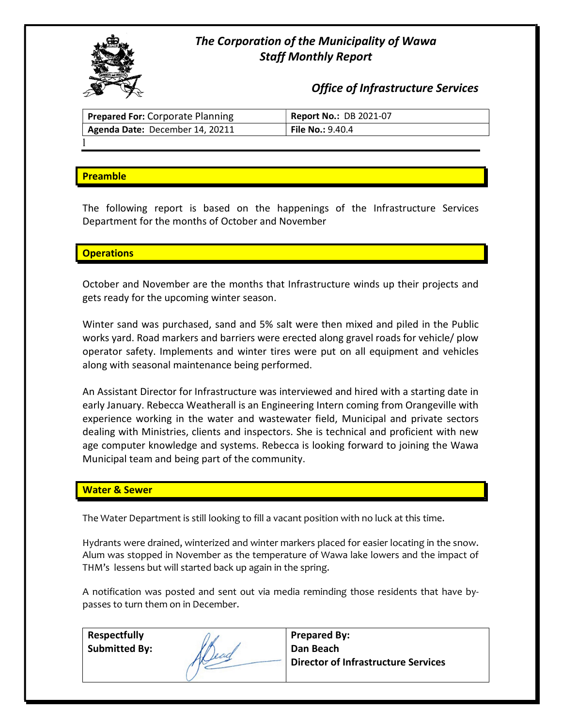# The Corporation of the Municipality of Wawa Staff Monthly Report



Office of Infrastructure Services

| <b>Prepared For: Corporate Planning</b> | <b>Report No.: DB 2021-07</b>        |
|-----------------------------------------|--------------------------------------|
| Agenda Date: December 14, 20211         | <b>File No.: <math>9.40.4</math></b> |
|                                         |                                      |

## **Preamble**

The following report is based on the happenings of the Infrastructure Services Department for the months of October and November

## **Operations**

October and November are the months that Infrastructure winds up their projects and gets ready for the upcoming winter season.

Winter sand was purchased, sand and 5% salt were then mixed and piled in the Public works yard. Road markers and barriers were erected along gravel roads for vehicle/ plow operator safety. Implements and winter tires were put on all equipment and vehicles along with seasonal maintenance being performed.

An Assistant Director for Infrastructure was interviewed and hired with a starting date in early January. Rebecca Weatherall is an Engineering Intern coming from Orangeville with experience working in the water and wastewater field, Municipal and private sectors dealing with Ministries, clients and inspectors. She is technical and proficient with new age computer knowledge and systems. Rebecca is looking forward to joining the Wawa Municipal team and being part of the community.

## Water & Sewer

The Water Department is still looking to fill a vacant position with no luck at this time.

Hydrants were drained, winterized and winter markers placed for easier locating in the snow. Alum was stopped in November as the temperature of Wawa lake lowers and the impact of THM's lessens but will started back up again in the spring.

A notification was posted and sent out via media reminding those residents that have bypasses to turn them on in December.

| Respectfully         |    | <b>Prepared By:</b>                        |
|----------------------|----|--------------------------------------------|
| <b>Submitted By:</b> |    | Dan Beach                                  |
|                      | au | <b>Director of Infrastructure Services</b> |
|                      |    |                                            |